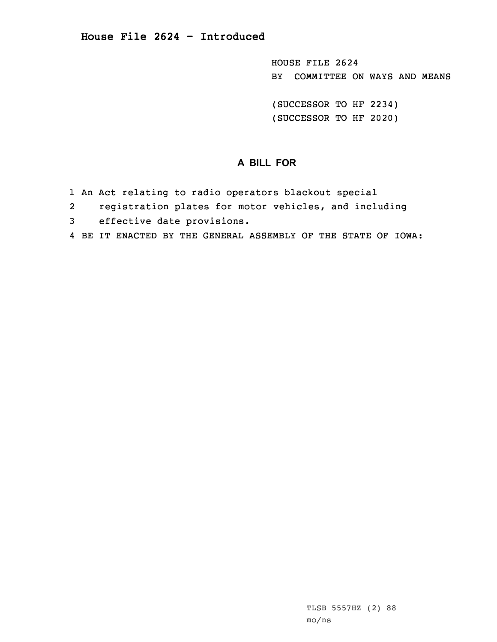HOUSE FILE 2624 BY COMMITTEE ON WAYS AND MEANS

(SUCCESSOR TO HF 2234) (SUCCESSOR TO HF 2020)

## **A BILL FOR**

- 1 An Act relating to radio operators blackout special
- 2registration plates for motor vehicles, and including
- 3 effective date provisions.
- 4 BE IT ENACTED BY THE GENERAL ASSEMBLY OF THE STATE OF IOWA: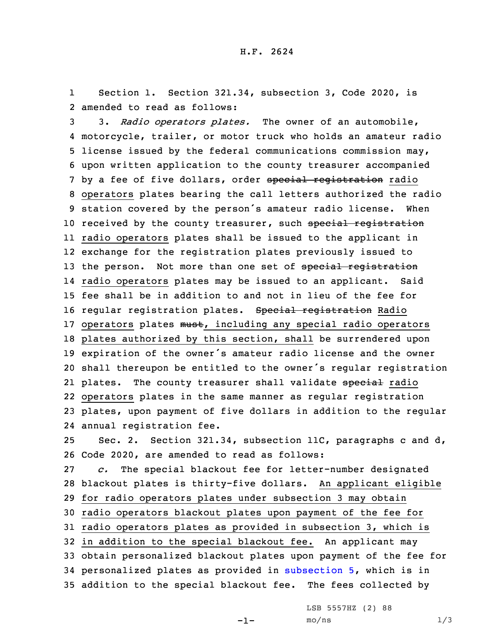1 Section 1. Section 321.34, subsection 3, Code 2020, is 2 amended to read as follows:

 3. *Radio operators plates.* The owner of an automobile, motorcycle, trailer, or motor truck who holds an amateur radio license issued by the federal communications commission may, upon written application to the county treasurer accompanied 7 by a fee of five dollars, order special registration radio operators plates bearing the call letters authorized the radio station covered by the person's amateur radio license. When 10 received by the county treasurer, such special registration radio operators plates shall be issued to the applicant in exchange for the registration plates previously issued to 13 the person. Not more than one set of special registration radio operators plates may be issued to an applicant. Said fee shall be in addition to and not in lieu of the fee for 16 regular registration plates. Special registration Radio 17 operators plates must, including any special radio operators plates authorized by this section, shall be surrendered upon expiration of the owner's amateur radio license and the owner shall thereupon be entitled to the owner's regular registration 21 plates. The county treasurer shall validate <del>special</del> radio operators plates in the same manner as regular registration plates, upon payment of five dollars in addition to the regular annual registration fee. Sec. 2. Section 321.34, subsection 11C, paragraphs <sup>c</sup> and d, Code 2020, are amended to read as follows: *c.* The special blackout fee for letter-number designated blackout plates is thirty-five dollars. An applicant eligible

29 for radio operators plates under subsection 3 may obtain

30 radio operators blackout plates upon payment of the fee for

31 radio operators plates as provided in subsection 3, which is

 in addition to the special blackout fee. An applicant may obtain personalized blackout plates upon payment of the fee for personalized plates as provided in [subsection](https://www.legis.iowa.gov/docs/code/2020/321.34.pdf) 5, which is in addition to the special blackout fee. The fees collected by

LSB 5557HZ (2) 88

-1-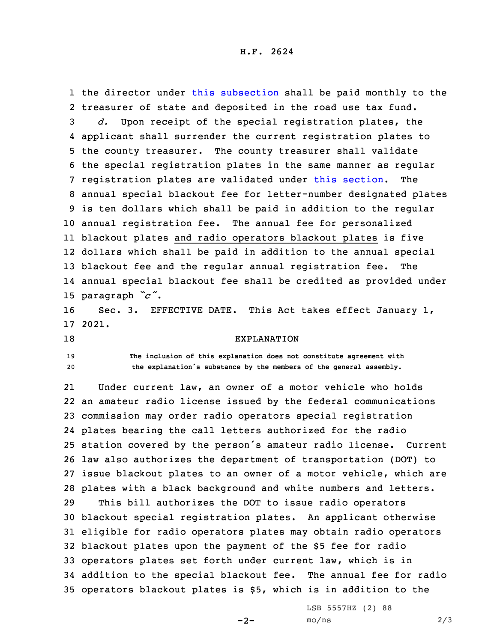1 the director under this [subsection](https://www.legis.iowa.gov/docs/code/2020/321.34.pdf) shall be paid monthly to the treasurer of state and deposited in the road use tax fund. *d.* Upon receipt of the special registration plates, the applicant shall surrender the current registration plates to the county treasurer. The county treasurer shall validate the special registration plates in the same manner as regular registration plates are validated under this [section](https://www.legis.iowa.gov/docs/code/2020/321.34.pdf). The annual special blackout fee for letter-number designated plates is ten dollars which shall be paid in addition to the regular annual registration fee. The annual fee for personalized blackout plates and radio operators blackout plates is five dollars which shall be paid in addition to the annual special blackout fee and the regular annual registration fee. The annual special blackout fee shall be credited as provided under paragraph *"c"*.

16 Sec. 3. EFFECTIVE DATE. This Act takes effect January 1, 17 2021.

18 EXPLANATION

19 **The inclusion of this explanation does not constitute agreement with** <sup>20</sup> **the explanation's substance by the members of the general assembly.**

21 Under current law, an owner of <sup>a</sup> motor vehicle who holds an amateur radio license issued by the federal communications commission may order radio operators special registration plates bearing the call letters authorized for the radio station covered by the person's amateur radio license. Current law also authorizes the department of transportation (DOT) to issue blackout plates to an owner of <sup>a</sup> motor vehicle, which are plates with <sup>a</sup> black background and white numbers and letters. This bill authorizes the DOT to issue radio operators blackout special registration plates. An applicant otherwise eligible for radio operators plates may obtain radio operators blackout plates upon the payment of the \$5 fee for radio operators plates set forth under current law, which is in addition to the special blackout fee. The annual fee for radio operators blackout plates is \$5, which is in addition to the

 $-2-$ 

LSB 5557HZ (2) 88  $mo/ns$  2/3